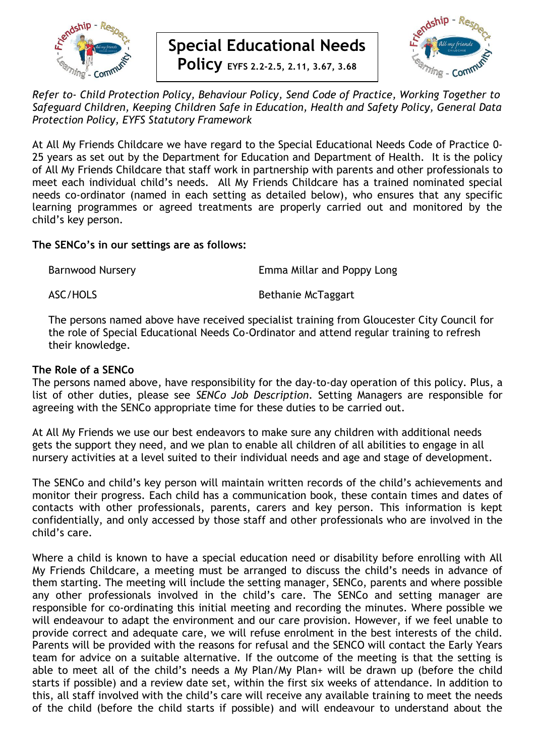

# **Special Educational Needs**

**Policy EYFS 2.2-2.5, 2.11, 3.67, 3.68**



*Refer to- Child Protection Policy, Behaviour Policy, Send Code of Practice, Working Together to Safeguard Children, Keeping Children Safe in Education, Health and Safety Policy, General Data Protection Policy, EYFS Statutory Framework*

At All My Friends Childcare we have regard to the Special Educational Needs Code of Practice 0- 25 years as set out by the Department for Education and Department of Health. It is the policy of All My Friends Childcare that staff work in partnership with parents and other professionals to meet each individual child's needs. All My Friends Childcare has a trained nominated special needs co-ordinator (named in each setting as detailed below), who ensures that any specific learning programmes or agreed treatments are properly carried out and monitored by the child's key person.

#### **The SENCo's in our settings are as follows:**

Barnwood Nursery **Emma Millar and Poppy Long** 

ASC/HOLS Bethanie McTaggart

The persons named above have received specialist training from Gloucester City Council for the role of Special Educational Needs Co-Ordinator and attend regular training to refresh their knowledge.

#### **The Role of a SENCo**

The persons named above, have responsibility for the day-to-day operation of this policy. Plus, a list of other duties, please see *SENCo Job Description*. Setting Managers are responsible for agreeing with the SENCo appropriate time for these duties to be carried out.

At All My Friends we use our best endeavors to make sure any children with additional needs gets the support they need, and we plan to enable all children of all abilities to engage in all nursery activities at a level suited to their individual needs and age and stage of development.

The SENCo and child's key person will maintain written records of the child's achievements and monitor their progress. Each child has a communication book, these contain times and dates of contacts with other professionals, parents, carers and key person. This information is kept confidentially, and only accessed by those staff and other professionals who are involved in the child's care.

Where a child is known to have a special education need or disability before enrolling with All My Friends Childcare, a meeting must be arranged to discuss the child's needs in advance of them starting. The meeting will include the setting manager, SENCo, parents and where possible any other professionals involved in the child's care. The SENCo and setting manager are responsible for co-ordinating this initial meeting and recording the minutes. Where possible we will endeavour to adapt the environment and our care provision. However, if we feel unable to provide correct and adequate care, we will refuse enrolment in the best interests of the child. Parents will be provided with the reasons for refusal and the SENCO will contact the Early Years team for advice on a suitable alternative. If the outcome of the meeting is that the setting is able to meet all of the child's needs a My Plan/My Plan+ will be drawn up (before the child starts if possible) and a review date set, within the first six weeks of attendance. In addition to this, all staff involved with the child's care will receive any available training to meet the needs of the child (before the child starts if possible) and will endeavour to understand about the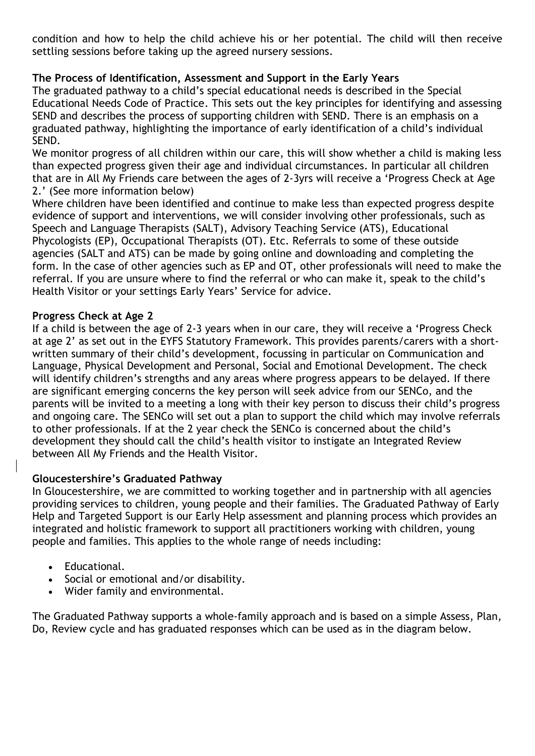condition and how to help the child achieve his or her potential. The child will then receive settling sessions before taking up the agreed nursery sessions.

# **The Process of Identification, Assessment and Support in the Early Years**

The graduated pathway to a child's special educational needs is described in the Special Educational Needs Code of Practice. This sets out the key principles for identifying and assessing SEND and describes the process of supporting children with SEND. There is an emphasis on a graduated pathway, highlighting the importance of early identification of a child's individual SEND.

We monitor progress of all children within our care, this will show whether a child is making less than expected progress given their age and individual circumstances. In particular all children that are in All My Friends care between the ages of 2-3yrs will receive a 'Progress Check at Age 2.' (See more information below)

Where children have been identified and continue to make less than expected progress despite evidence of support and interventions, we will consider involving other professionals, such as Speech and Language Therapists (SALT), Advisory Teaching Service (ATS), Educational Phycologists (EP), Occupational Therapists (OT). Etc. Referrals to some of these outside agencies (SALT and ATS) can be made by going online and downloading and completing the form. In the case of other agencies such as EP and OT, other professionals will need to make the referral. If you are unsure where to find the referral or who can make it, speak to the child's Health Visitor or your settings Early Years' Service for advice.

#### **Progress Check at Age 2**

If a child is between the age of 2-3 years when in our care, they will receive a 'Progress Check at age 2' as set out in the EYFS Statutory Framework. This provides parents/carers with a shortwritten summary of their child's development, focussing in particular on Communication and Language, Physical Development and Personal, Social and Emotional Development. The check will identify children's strengths and any areas where progress appears to be delayed. If there are significant emerging concerns the key person will seek advice from our SENCo, and the parents will be invited to a meeting a long with their key person to discuss their child's progress and ongoing care. The SENCo will set out a plan to support the child which may involve referrals to other professionals. If at the 2 year check the SENCo is concerned about the child's development they should call the child's health visitor to instigate an Integrated Review between All My Friends and the Health Visitor.

## **Gloucestershire's Graduated Pathway**

In Gloucestershire, we are committed to working together and in partnership with all agencies providing services to children, young people and their families. The Graduated Pathway of Early Help and Targeted Support is our Early Help assessment and planning process which provides an integrated and holistic framework to support all practitioners working with children, young people and families. This applies to the whole range of needs including:

- Educational.
- Social or emotional and/or disability.
- Wider family and environmental.

The Graduated Pathway supports a whole-family approach and is based on a simple Assess, Plan, Do, Review cycle and has graduated responses which can be used as in the diagram below.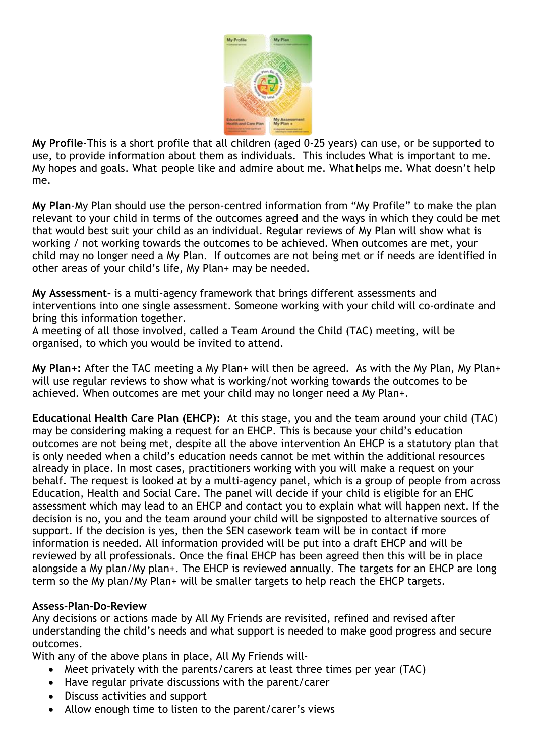

**My Profile**-This is a short profile that all children (aged 0-25 years) can use, or be supported to use, to provide information about them as individuals. This includes What is important to me. My hopes and goals. What people like and admire about me. What helps me. What doesn't help me.

**My Plan**-My Plan should use the person-centred information from "My Profile" to make the plan relevant to your child in terms of the outcomes agreed and the ways in which they could be met that would best suit your child as an individual. Regular reviews of My Plan will show what is working / not working towards the outcomes to be achieved. When outcomes are met, your child may no longer need a My Plan. If outcomes are not being met or if needs are identified in other areas of your child's life, My Plan+ may be needed.

**My Assessment-** is a multi-agency framework that brings different assessments and interventions into one single assessment. Someone working with your child will co-ordinate and bring this information together.

A meeting of all those involved, called a Team Around the Child (TAC) meeting, will be organised, to which you would be invited to attend.

**My Plan+:** After the TAC meeting a My Plan+ will then be agreed. As with the My Plan, My Plan+ will use regular reviews to show what is working/not working towards the outcomes to be achieved. When outcomes are met your child may no longer need a My Plan+.

**Educational Health Care Plan (EHCP):** At this stage, you and the team around your child (TAC) may be considering making a request for an EHCP. This is because your child's education outcomes are not being met, despite all the above intervention An EHCP is a statutory plan that is only needed when a child's education needs cannot be met within the additional resources already in place. In most cases, practitioners working with you will make a request on your behalf. The request is looked at by a multi-agency panel, which is a group of people from across Education, Health and Social Care. The panel will decide if your child is eligible for an EHC assessment which may lead to an EHCP and contact you to explain what will happen next. If the decision is no, you and the team around your child will be signposted to alternative sources of support. If the decision is yes, then the SEN casework team will be in contact if more information is needed. All information provided will be put into a draft EHCP and will be reviewed by all professionals. Once the final EHCP has been agreed then this will be in place alongside a My plan/My plan+. The EHCP is reviewed annually. The targets for an EHCP are long term so the My plan/My Plan+ will be smaller targets to help reach the EHCP targets.

## **Assess-Plan-Do-Review**

Any decisions or actions made by All My Friends are revisited, refined and revised after understanding the child's needs and what support is needed to make good progress and secure outcomes.

With any of the above plans in place, All My Friends will-

- Meet privately with the parents/carers at least three times per year (TAC)
- Have regular private discussions with the parent/carer
- Discuss activities and support
- Allow enough time to listen to the parent/carer's views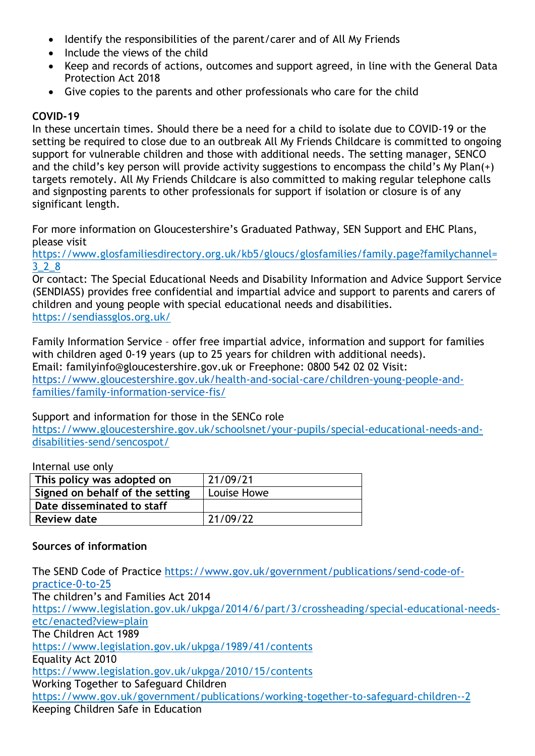- Identify the responsibilities of the parent/carer and of All My Friends
- Include the views of the child
- Keep and records of actions, outcomes and support agreed, in line with the General Data Protection Act 2018
- Give copies to the parents and other professionals who care for the child

# **COVID-19**

In these uncertain times. Should there be a need for a child to isolate due to COVID-19 or the setting be required to close due to an outbreak All My Friends Childcare is committed to ongoing support for vulnerable children and those with additional needs. The setting manager, SENCO and the child's key person will provide activity suggestions to encompass the child's My Plan(+) targets remotely. All My Friends Childcare is also committed to making regular telephone calls and signposting parents to other professionals for support if isolation or closure is of any significant length.

For more information on Gloucestershire's Graduated Pathway, SEN Support and EHC Plans, please visit

https://www.glosfamiliesdirectory.org.uk/kb5/gloucs/glosfamilies/family.page?familychannel= 3\_2\_8

Or contact: The Special Educational Needs and Disability Information and Advice Support Service (SENDIASS) provides free confidential and impartial advice and support to parents and carers of children and young people with special educational needs and disabilities. https://sendiassglos.org.uk/

Family Information Service – offer free impartial advice, information and support for families with children aged 0-19 years (up to 25 years for children with additional needs). Email: familyinfo@gloucestershire.gov.uk or Freephone: 0800 542 02 02 Visit: [https://www.gloucestershire.gov.uk/health-and-social-care/children-young-people-and](https://www.gloucestershire.gov.uk/health-and-social-care/children-young-people-and-families/family-information-service-fis/)[families/family-information-service-fis/](https://www.gloucestershire.gov.uk/health-and-social-care/children-young-people-and-families/family-information-service-fis/)

## Support and information for those in the SENCo role

https://www.gloucestershire.gov.uk/schoolsnet/your-pupils/special-educational-needs-anddisabilities-send/sencospot/

Internal use only

| This policy was adopted on      | 21/09/21    |
|---------------------------------|-------------|
| Signed on behalf of the setting | Louise Howe |
| Date disseminated to staff      |             |
| <b>Review date</b>              | 21/09/22    |

## **Sources of information**

The SEND Code of Practice [https://www.gov.uk/government/publications/send-code-of](https://www.gov.uk/government/publications/send-code-of-practice-0-to-25)[practice-0-to-25](https://www.gov.uk/government/publications/send-code-of-practice-0-to-25) The children's and Families Act 2014 https://www.legislation.gov.uk/ukpga/2014/6/part/3/crossheading/special-educational-needsetc/enacted?view=plain The Children Act 1989 https://www.legislation.gov.uk/ukpga/1989/41/contents Equality Act 2010 https://www.legislation.gov.uk/ukpga/2010/15/contents Working Together to Safeguard Children https://www.gov.uk/government/publications/working-together-to-safeguard-children--2 Keeping Children Safe in Education